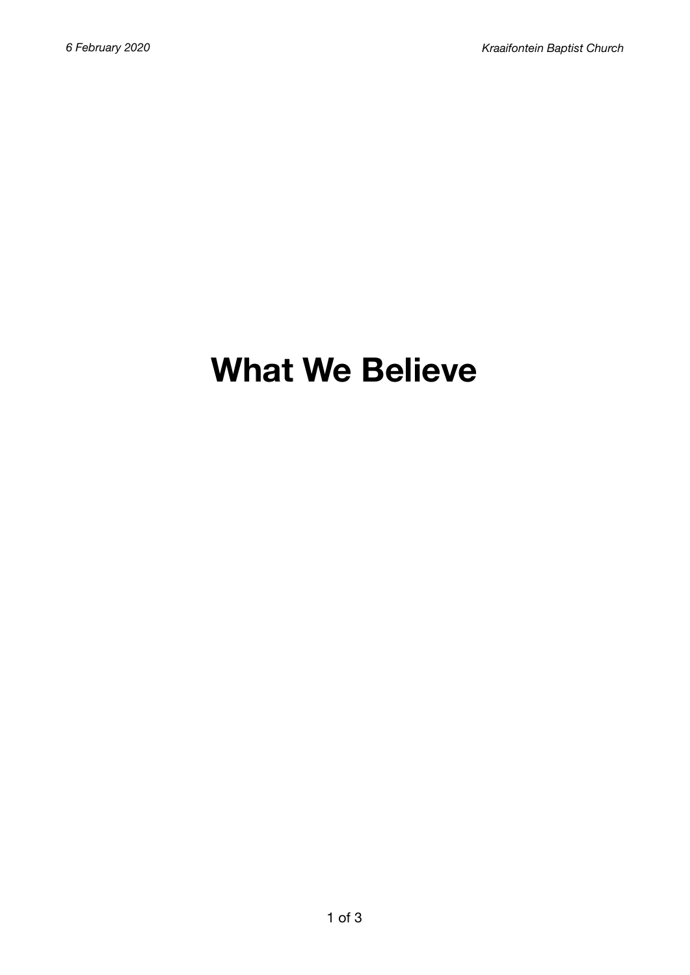# **What We Believe**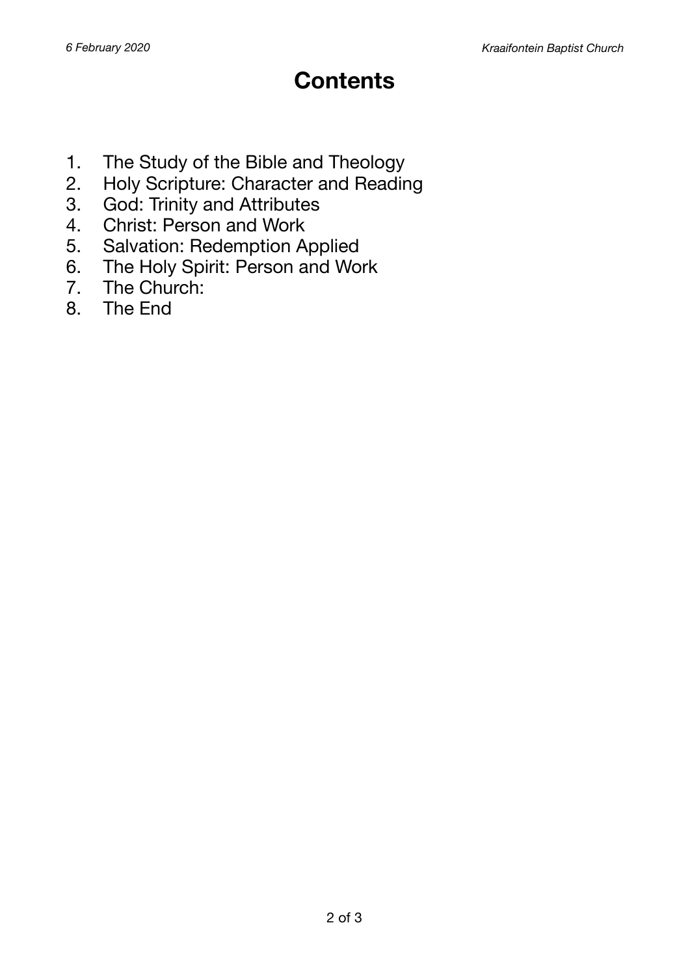## **Contents**

- 1. The Study of the Bible and Theology
- 2. Holy Scripture: Character and Reading
- 3. God: Trinity and Attributes
- 4. Christ: Person and Work
- 5. Salvation: Redemption Applied
- 6. The Holy Spirit: Person and Work
- 7. The Church:<br>8. The End
- 8. The End